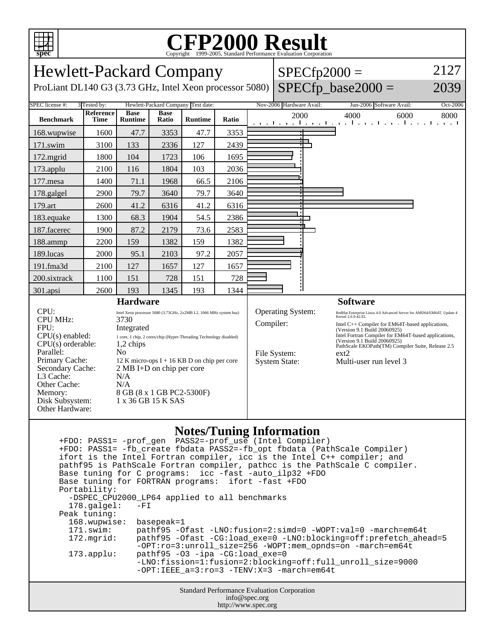

## C<sub>opyright</sub> ©1999-2005, Standard Performance Evaluation Corporation

Hewlett-Packard Company  $SPECfp2000 =$ 2127 ProLiant DL140 G3 (3.73 GHz, Intel Xeon processor 5080)  $SPECfp\_base2000 =$ 2039 SPEC license #: 3 Tested by: Hewlett-Packard Company Test date: Nov-2006 Hardware Avail: Jun-2006 Software Avail: Oct-2006 **Reference Base Base Ratio Runtime Ratio** 2000 4000 6000 8000 **Benchmark Time Runtime** 168.wupwise 1600 47.7 3353 47.7 3353 171.swim | 3100 | 133 | 2336 | 127 | 2439 172.mgrid | 1800 | 104 | 1723 | 106 | 1695 173.applu | 2100 | 116 | 1804 | 103 | 2036 177. mesa | 1400 | 71.1 | 1968 | 66.5 | 2106 178.galgel | 2900 | 79.7 | 3640 | 79.7 | 3640 179.art | 2600 41.2 6316 41.2 6316 183.equake 1300 68.3 1904 54.5 2386 ┑ 187.facerec | 1900 | 87.2 | 2179 | 73.6 | 2583 188.ammp | 2200 | 159 | 1382 | 159 | 1382 189.lucas | 2000 | 95.1 | 2103 | 97.2 | 2057 191.fma3d 2100 127 1657 127 1657 200.sixtrack 1100 151 728 151 728 301.apsi 2600 193 1345 193 1344 **Hardware Software** CPU: Intel Xeon processor 5080 (3.73GHz, 2x2MB L2, 1066 MHz system bus)<br>CPU MHz:  $3730$ Operating System: RedHat Enterprise Linux 4.0 Advanced Server for AMD64/EM64T, Update 4 CPU MHz: Compiler: Intel C++ Compiler for EM64T-based applications, FPU: Integrated (Version 9.1 Build 20060925) Intel Fortran Compiler for EM64T-based applications, CPU(s) enabled: 1 core, 1 chip, 2 cores/chip (Hyper-Threading Technology disabled) (Version 9.1 Build 20060925) PathScale EKOPath(TM) Compiler Suite, Release 2.5  $CPU(s)$  orderable:  $1,2$  chips Parallel: No File System: ext2 Primary Cache: 12 K micro-ops I + 16 KB D on chip per core System State: Multi-user run level 3 Secondary Cache: 2 MB I+D on chip per core L3 Cache: N/A Other Cache: N/A Memory: 8 GB (8 x 1 GB PC2-5300F) Disk Subsystem: 1 x 36 GB 15 K SAS Other Hardware:

## **Notes/Tuning Information**

Standard Performance Evaluation Corporation info@spec.org +FDO: PASS1= -prof\_gen PASS2=-prof\_use (Intel Compiler) +FDO: PASS1= -fb\_create fbdata PASS2=-fb\_opt fbdata (PathScale Compiler) ifort is the Intel Fortran compiler, icc is the Intel C++ compiler; and pathf95 is PathScale Fortran compiler, pathcc is the PathScale C compiler. Base tuning for C programs: icc -fast -auto\_ilp32 +FDO Base tuning for FORTRAN programs: ifort -fast +FDO Portability: -DSPEC\_CPU2000\_LP64 applied to all benchmarks<br>178.galgel: -FI  $178.galgel:$  Peak tuning: 168.wupwise: basepeak=1 171.swim: pathf95 -Ofast -LNO:fusion=2:simd=0 -WOPT:val=0 -march=em64t 172.mgrid: pathf95 -Ofast -CG:load\_exe=0 -LNO:blocking=off:prefetch\_ahead=5 -OPT:ro=3:unroll\_size=256 -WOPT:mem\_opnds=on -march=em64t 173.applu: pathf95 -O3 -ipa -CG:load\_exe=0 -LNO:fission=1:fusion=2:blocking=off:full\_unroll\_size=9000  $-$ OPT:IEEE  $a=3:ro=3$   $-TENV:X=3$   $-march=em64t$ 

http://www.spec.org